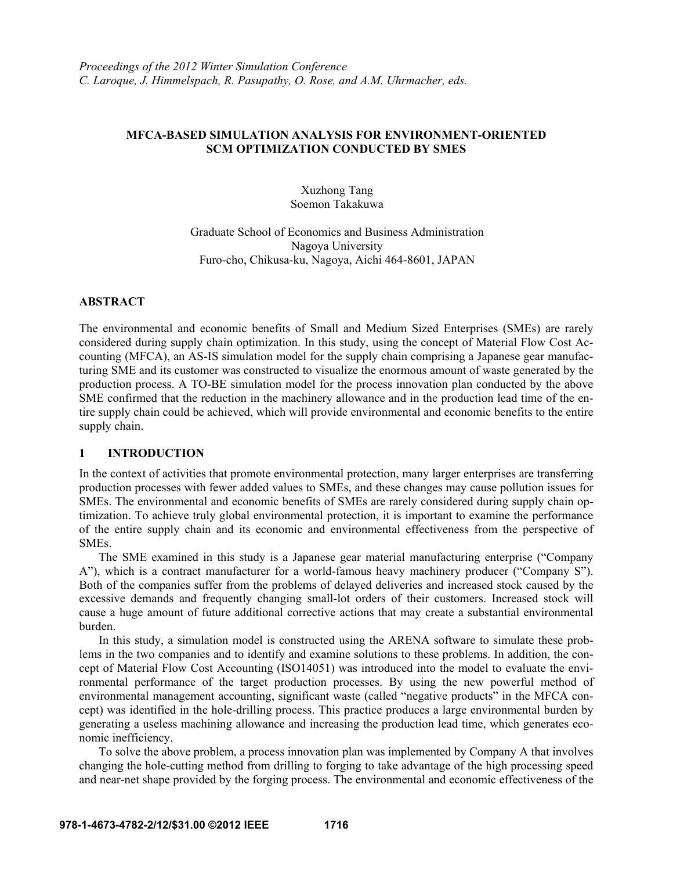## **MFCA-BASED SIMULATION ANALYSIS FOR ENVIRONMENT-ORIENTED SCM OPTIMIZATION CONDUCTED BY SMES**

Xuzhong Tang Soemon Takakuwa

Graduate School of Economics and Business Administration Nagoya University Furo-cho, Chikusa-ku, Nagoya, Aichi 464-8601, JAPAN

#### **ABSTRACT**

The environmental and economic benefits of Small and Medium Sized Enterprises (SMEs) are rarely considered during supply chain optimization. In this study, using the concept of Material Flow Cost Accounting (MFCA), an AS-IS simulation model for the supply chain comprising a Japanese gear manufacturing SME and its customer was constructed to visualize the enormous amount of waste generated by the production process. A TO-BE simulation model for the process innovation plan conducted by the above SME confirmed that the reduction in the machinery allowance and in the production lead time of the entire supply chain could be achieved, which will provide environmental and economic benefits to the entire supply chain.

#### **1 INTRODUCTION**

In the context of activities that promote environmental protection, many larger enterprises are transferring production processes with fewer added values to SMEs, and these changes may cause pollution issues for SMEs. The environmental and economic benefits of SMEs are rarely considered during supply chain optimization. To achieve truly global environmental protection, it is important to examine the performance of the entire supply chain and its economic and environmental effectiveness from the perspective of SMEs.

The SME examined in this study is a Japanese gear material manufacturing enterprise ("Company A"), which is a contract manufacturer for a world-famous heavy machinery producer ("Company S"). Both of the companies suffer from the problems of delayed deliveries and increased stock caused by the excessive demands and frequently changing small-lot orders of their customers. Increased stock will cause a huge amount of future additional corrective actions that may create a substantial environmental burden.

In this study, a simulation model is constructed using the ARENA software to simulate these problems in the two companies and to identify and examine solutions to these problems. In addition, the concept of Material Flow Cost Accounting (ISO14051) was introduced into the model to evaluate the environmental performance of the target production processes. By using the new powerful method of environmental management accounting, significant waste (called "negative products" in the MFCA concept) was identified in the hole-drilling process. This practice produces a large environmental burden by generating a useless machining allowance and increasing the production lead time, which generates economic inefficiency.

To solve the above problem, a process innovation plan was implemented by Company A that involves changing the hole-cutting method from drilling to forging to take advantage of the high processing speed and near-net shape provided by the forging process. The environmental and economic effectiveness of the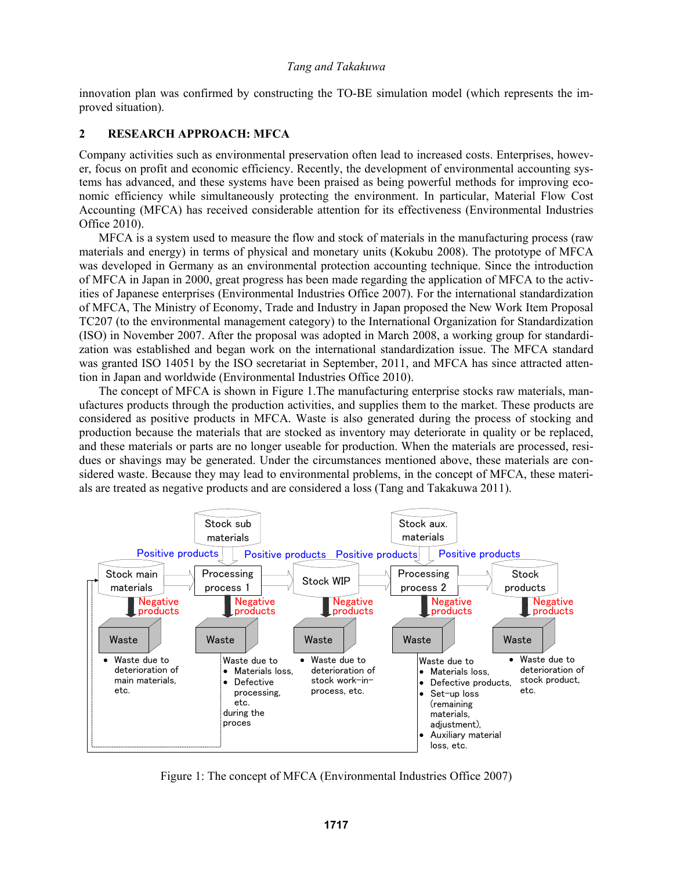innovation plan was confirmed by constructing the TO-BE simulation model (which represents the improved situation).

## **2 RESEARCH APPROACH: MFCA**

Company activities such as environmental preservation often lead to increased costs. Enterprises, however, focus on profit and economic efficiency. Recently, the development of environmental accounting systems has advanced, and these systems have been praised as being powerful methods for improving economic efficiency while simultaneously protecting the environment. In particular, Material Flow Cost Accounting (MFCA) has received considerable attention for its effectiveness (Environmental Industries Office 2010).

MFCA is a system used to measure the flow and stock of materials in the manufacturing process (raw materials and energy) in terms of physical and monetary units (Kokubu 2008). The prototype of MFCA was developed in Germany as an environmental protection accounting technique. Since the introduction of MFCA in Japan in 2000, great progress has been made regarding the application of MFCA to the activities of Japanese enterprises (Environmental Industries Office 2007). For the international standardization of MFCA, The Ministry of Economy, Trade and Industry in Japan proposed the New Work Item Proposal TC207 (to the environmental management category) to the International Organization for Standardization (ISO) in November 2007. After the proposal was adopted in March 2008, a working group for standardization was established and began work on the international standardization issue. The MFCA standard was granted ISO 14051 by the ISO secretariat in September, 2011, and MFCA has since attracted attention in Japan and worldwide (Environmental Industries Office 2010).

The concept of MFCA is shown in Figure 1.The manufacturing enterprise stocks raw materials, manufactures products through the production activities, and supplies them to the market. These products are considered as positive products in MFCA. Waste is also generated during the process of stocking and production because the materials that are stocked as inventory may deteriorate in quality or be replaced, and these materials or parts are no longer useable for production. When the materials are processed, residues or shavings may be generated. Under the circumstances mentioned above, these materials are considered waste. Because they may lead to environmental problems, in the concept of MFCA, these materials are treated as negative products and are considered a loss (Tang and Takakuwa 2011).



Figure 1: The concept of MFCA (Environmental Industries Office 2007)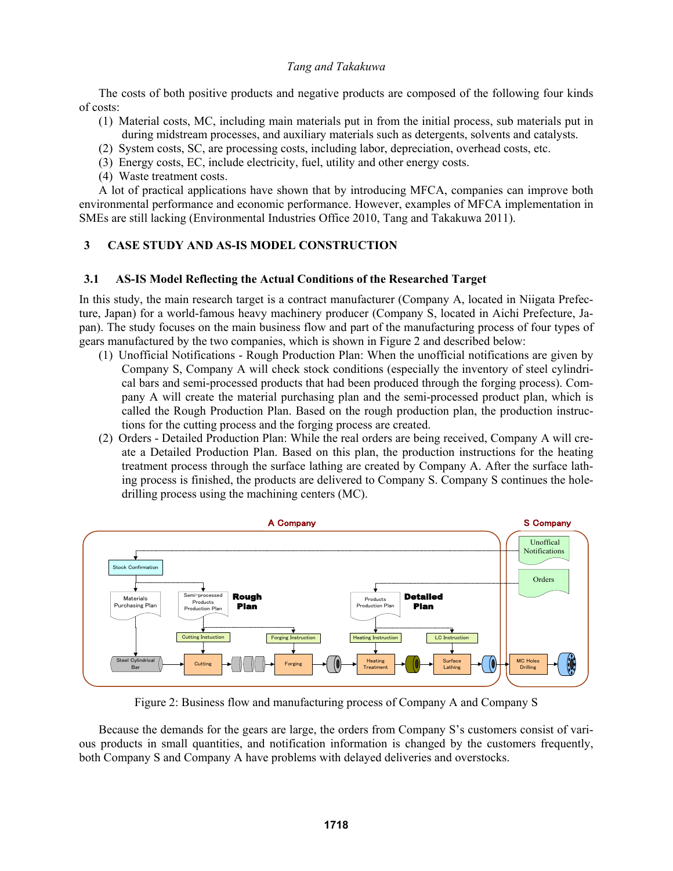The costs of both positive products and negative products are composed of the following four kinds of costs:

- (1) Material costs, MC, including main materials put in from the initial process, sub materials put in during midstream processes, and auxiliary materials such as detergents, solvents and catalysts.
- (2) System costs, SC, are processing costs, including labor, depreciation, overhead costs, etc.
- (3) Energy costs, EC, include electricity, fuel, utility and other energy costs.
- (4) Waste treatment costs.

A lot of practical applications have shown that by introducing MFCA, companies can improve both environmental performance and economic performance. However, examples of MFCA implementation in SMEs are still lacking (Environmental Industries Office 2010, Tang and Takakuwa 2011).

# **3 CASE STUDY AND AS-IS MODEL CONSTRUCTION**

## **3.1 AS-IS Model Reflecting the Actual Conditions of the Researched Target**

In this study, the main research target is a contract manufacturer (Company A, located in Niigata Prefecture, Japan) for a world-famous heavy machinery producer (Company S, located in Aichi Prefecture, Japan). The study focuses on the main business flow and part of the manufacturing process of four types of gears manufactured by the two companies, which is shown in Figure 2 and described below:

- (1) Unofficial Notifications Rough Production Plan: When the unofficial notifications are given by Company S, Company A will check stock conditions (especially the inventory of steel cylindrical bars and semi-processed products that had been produced through the forging process). Company A will create the material purchasing plan and the semi-processed product plan, which is called the Rough Production Plan. Based on the rough production plan, the production instructions for the cutting process and the forging process are created.
- (2) Orders Detailed Production Plan: While the real orders are being received, Company A will create a Detailed Production Plan. Based on this plan, the production instructions for the heating treatment process through the surface lathing are created by Company A. After the surface lathing process is finished, the products are delivered to Company S. Company S continues the holedrilling process using the machining centers (MC).



Figure 2: Business flow and manufacturing process of Company A and Company S

Because the demands for the gears are large, the orders from Company S's customers consist of various products in small quantities, and notification information is changed by the customers frequently, both Company S and Company A have problems with delayed deliveries and overstocks.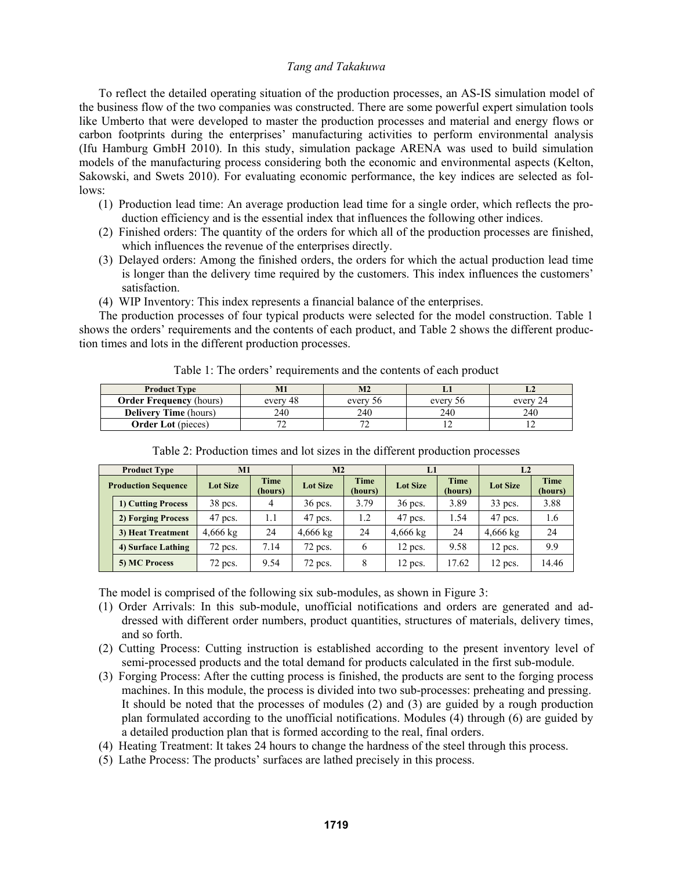To reflect the detailed operating situation of the production processes, an AS-IS simulation model of the business flow of the two companies was constructed. There are some powerful expert simulation tools like Umberto that were developed to master the production processes and material and energy flows or carbon footprints during the enterprises' manufacturing activities to perform environmental analysis (Ifu Hamburg GmbH 2010). In this study, simulation package ARENA was used to build simulation models of the manufacturing process considering both the economic and environmental aspects (Kelton, Sakowski, and Swets 2010). For evaluating economic performance, the key indices are selected as follows:

- (1) Production lead time: An average production lead time for a single order, which reflects the production efficiency and is the essential index that influences the following other indices.
- (2) Finished orders: The quantity of the orders for which all of the production processes are finished, which influences the revenue of the enterprises directly.
- (3) Delayed orders: Among the finished orders, the orders for which the actual production lead time is longer than the delivery time required by the customers. This index influences the customers' satisfaction.
- (4) WIP Inventory: This index represents a financial balance of the enterprises.

The production processes of four typical products were selected for the model construction. Table 1 shows the orders' requirements and the contents of each product, and Table 2 shows the different production times and lots in the different production processes.

| <b>Product Type</b>            | M1       |          |          |          |
|--------------------------------|----------|----------|----------|----------|
| <b>Order Frequency (hours)</b> | every 48 | every 56 | every 56 | every 24 |
| <b>Delivery Time</b> (hours)   | 240      | 240      | 240      | 240      |
| <b>Order Lot</b> (pieces)      |          |          |          |          |

| <b>Product Type</b>        | M1                 |                 |                    | M <sub>2</sub>  |                 | L1                     |                    | L2              |  |
|----------------------------|--------------------|-----------------|--------------------|-----------------|-----------------|------------------------|--------------------|-----------------|--|
| <b>Production Sequence</b> | <b>Lot Size</b>    | Time<br>(hours) | <b>Lot Size</b>    | Time<br>(hours) | <b>Lot Size</b> | <b>Time</b><br>(hours) | <b>Lot Size</b>    | Time<br>(hours) |  |
| 1) Cutting Process         | 38 pcs.            | $\overline{4}$  | 36 pcs.            | 3.79            | 36 pcs.         | 3.89                   | $33$ pcs.          | 3.88            |  |
| 2) Forging Process         | $47$ pcs.          | 1.1             | $47$ pcs.          | 1.2             | 47 pcs.         | 1.54                   | $47$ pcs.          | 1.6             |  |
| 3) Heat Treatment          | $4,666 \text{ kg}$ | 24              | $4,666 \text{ kg}$ | 24              | $4,666$ kg      | 24                     | $4,666 \text{ kg}$ | 24              |  |
| 4) Surface Lathing         | 72 pcs.            | 7.14            | 72 pcs.            | 6               | $12$ pcs.       | 9.58                   | $12$ pcs.          | 9.9             |  |
| 5) MC Process              | 72 pcs.            | 9.54            | 72 pcs.            | 8               | $12$ pcs.       | 17.62                  | $12$ pcs.          | 14.46           |  |

Table 2: Production times and lot sizes in the different production processes

The model is comprised of the following six sub-modules, as shown in Figure 3:

- (1) Order Arrivals: In this sub-module, unofficial notifications and orders are generated and addressed with different order numbers, product quantities, structures of materials, delivery times, and so forth.
- (2) Cutting Process: Cutting instruction is established according to the present inventory level of semi-processed products and the total demand for products calculated in the first sub-module.
- (3) Forging Process: After the cutting process is finished, the products are sent to the forging process machines. In this module, the process is divided into two sub-processes: preheating and pressing. It should be noted that the processes of modules (2) and (3) are guided by a rough production plan formulated according to the unofficial notifications. Modules (4) through (6) are guided by a detailed production plan that is formed according to the real, final orders.
- (4) Heating Treatment: It takes 24 hours to change the hardness of the steel through this process.
- (5) Lathe Process: The products' surfaces are lathed precisely in this process.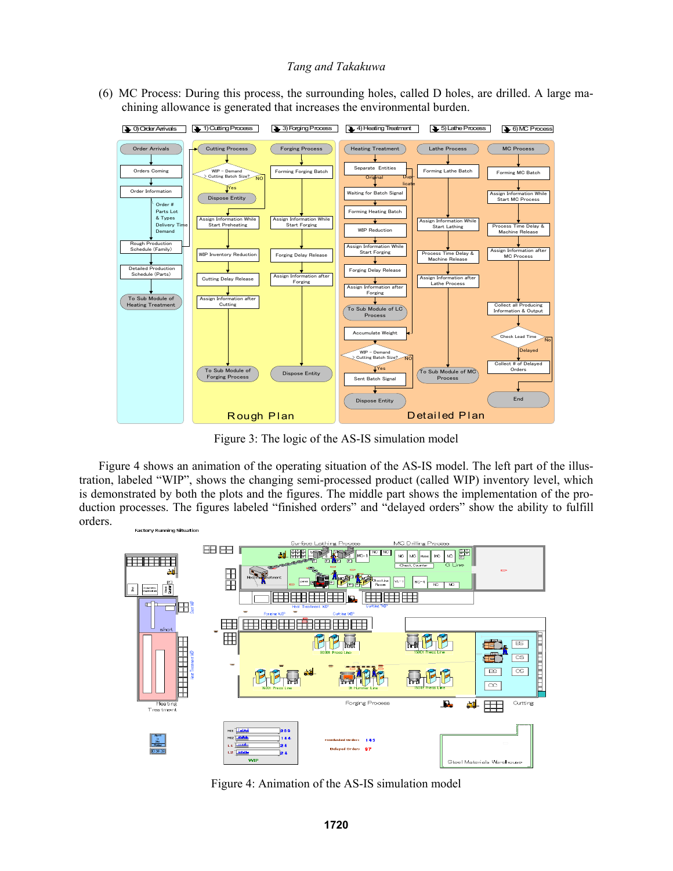(6) MC Process: During this process, the surrounding holes, called D holes, are drilled. A large machining allowance is generated that increases the environmental burden.



Figure 3: The logic of the AS-IS simulation model

Figure 4 shows an animation of the operating situation of the AS-IS model. The left part of the illustration, labeled "WIP", shows the changing semi-processed product (called WIP) inventory level, which is demonstrated by both the plots and the figures. The middle part shows the implementation of the production processes. The figures labeled "finished orders" and "delayed orders" show the ability to fulfill orders.



Figure 4: Animation of the AS-IS simulation model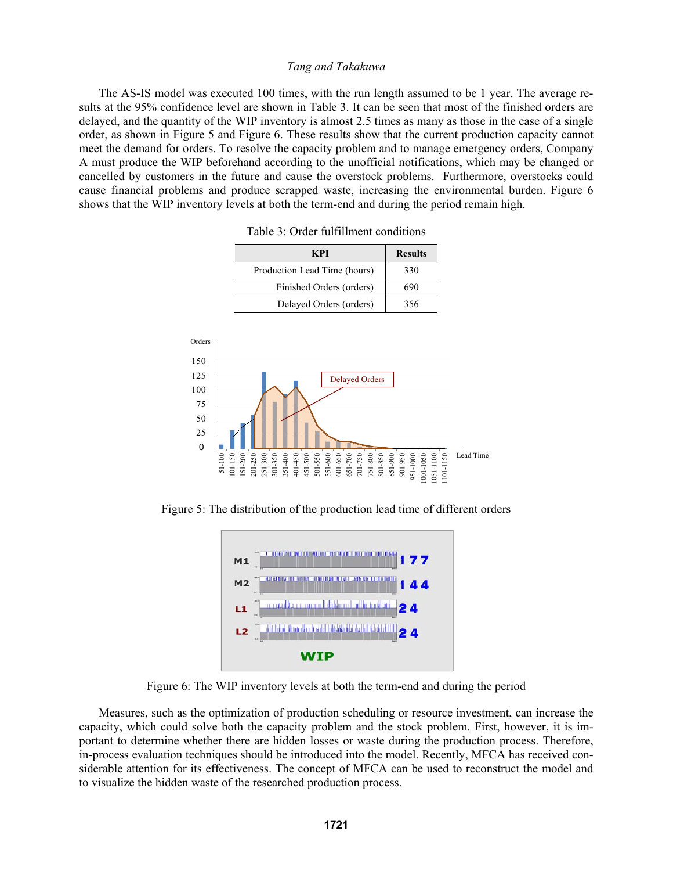The AS-IS model was executed 100 times, with the run length assumed to be 1 year. The average results at the 95% confidence level are shown in Table 3. It can be seen that most of the finished orders are delayed, and the quantity of the WIP inventory is almost 2.5 times as many as those in the case of a single order, as shown in Figure 5 and Figure 6. These results show that the current production capacity cannot meet the demand for orders. To resolve the capacity problem and to manage emergency orders, Company A must produce the WIP beforehand according to the unofficial notifications, which may be changed or cancelled by customers in the future and cause the overstock problems. Furthermore, overstocks could cause financial problems and produce scrapped waste, increasing the environmental burden. Figure 6 shows that the WIP inventory levels at both the term-end and during the period remain high.

| <b>KPI</b>                   | <b>Results</b> |
|------------------------------|----------------|
| Production Lead Time (hours) | 330            |
| Finished Orders (orders)     | 690            |
| Delayed Orders (orders)      | 356            |
|                              |                |
|                              |                |
|                              |                |
|                              |                |

Orders

Table 3: Order fulfillment conditions



Figure 5: The distribution of the production lead time of different orders



Figure 6: The WIP inventory levels at both the term-end and during the period

Measures, such as the optimization of production scheduling or resource investment, can increase the capacity, which could solve both the capacity problem and the stock problem. First, however, it is important to determine whether there are hidden losses or waste during the production process. Therefore, in-process evaluation techniques should be introduced into the model. Recently, MFCA has received considerable attention for its effectiveness. The concept of MFCA can be used to reconstruct the model and to visualize the hidden waste of the researched production process.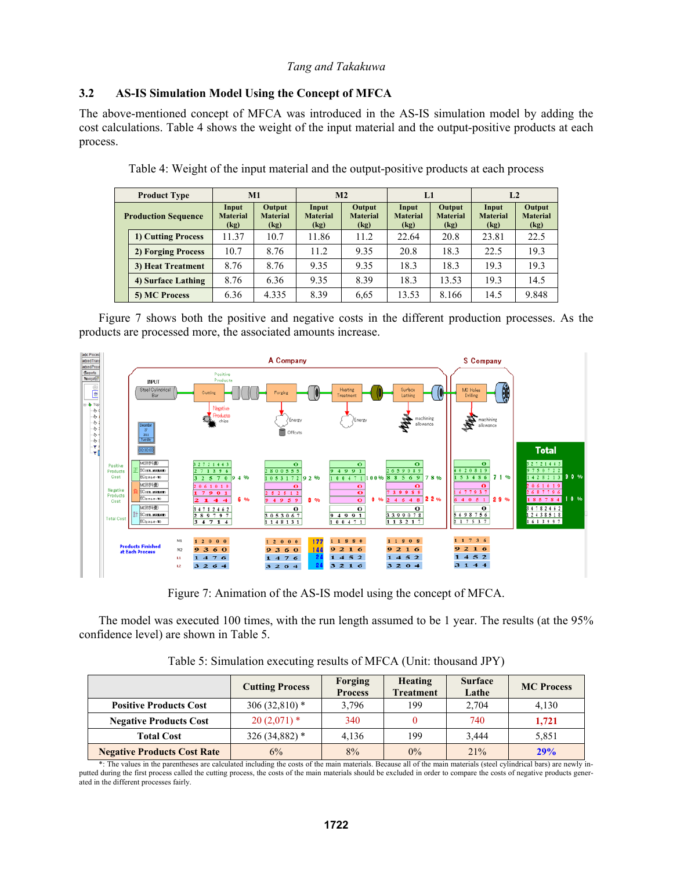## **3.2 AS-IS Simulation Model Using the Concept of MFCA**

The above-mentioned concept of MFCA was introduced in the AS-IS simulation model by adding the cost calculations. Table 4 shows the weight of the input material and the output-positive products at each process.

| M1<br><b>Product Type</b>  |                                  |                                   | M <sub>2</sub>                   |                                   | L1                               |                                   | L <sub>2</sub>                   |                                   |
|----------------------------|----------------------------------|-----------------------------------|----------------------------------|-----------------------------------|----------------------------------|-----------------------------------|----------------------------------|-----------------------------------|
| <b>Production Sequence</b> | Input<br><b>Material</b><br>(kg) | Output<br><b>Material</b><br>(kg) | Input<br><b>Material</b><br>(kg) | Output<br><b>Material</b><br>(kg) | Input<br><b>Material</b><br>(kg) | Output<br><b>Material</b><br>(kg) | Input<br><b>Material</b><br>(kg) | Output<br><b>Material</b><br>(kg) |
| 1) Cutting Process         | 11.37                            | 10.7                              | 11.86                            | 11.2                              | 22.64                            | 20.8                              | 23.81                            | 22.5                              |
| 2) Forging Process         | 10.7                             | 8.76                              | 11.2                             | 9.35                              | 20.8                             | 18.3                              | 22.5                             | 19.3                              |
| 3) Heat Treatment          | 8.76                             | 8.76                              | 9.35                             | 9.35                              | 18.3                             | 18.3                              | 19.3                             | 19.3                              |
| 4) Surface Lathing         | 8.76                             | 6.36                              | 9.35                             | 8.39                              | 18.3                             | 13.53                             | 19.3                             | 14.5                              |
| 5) MC Process              | 6.36                             | 4.335                             | 8.39                             | 6.65                              | 13.53                            | 8.166                             | 14.5                             | 9.848                             |

Table 4: Weight of the input material and the output-positive products at each process

Figure 7 shows both the positive and negative costs in the different production processes. As the products are processed more, the associated amounts increase.



Figure 7: Animation of the AS-IS model using the concept of MFCA.

The model was executed 100 times, with the run length assumed to be 1 year. The results (at the 95% confidence level) are shown in Table 5.

|                                    | <b>Cutting Process</b> | Forging<br><b>Process</b> | Heating<br><b>Treatment</b> | <b>Surface</b><br>Lathe | <b>MC Process</b> |
|------------------------------------|------------------------|---------------------------|-----------------------------|-------------------------|-------------------|
| <b>Positive Products Cost</b>      | $306(32,810)*$         | 3,796                     | 199                         | 2.704                   | 4.130             |
| <b>Negative Products Cost</b>      | $20(2,071)$ *          | 340                       |                             | 740                     | 1.721             |
| <b>Total Cost</b>                  | $326(34,882)$ *        | 4,136                     | 199                         | 3.444                   | 5,851             |
| <b>Negative Products Cost Rate</b> | 6%                     | 8%                        | $0\%$                       | 21%                     | 29%               |

Table 5: Simulation executing results of MFCA (Unit: thousand JPY)

\*: The values in the parentheses are calculated including the costs of the main materials. Because all of the main materials (steel cylindrical bars) are newly inputted during the first process called the cutting process, the costs of the main materials should be excluded in order to compare the costs of negative products generated in the different processes fairly.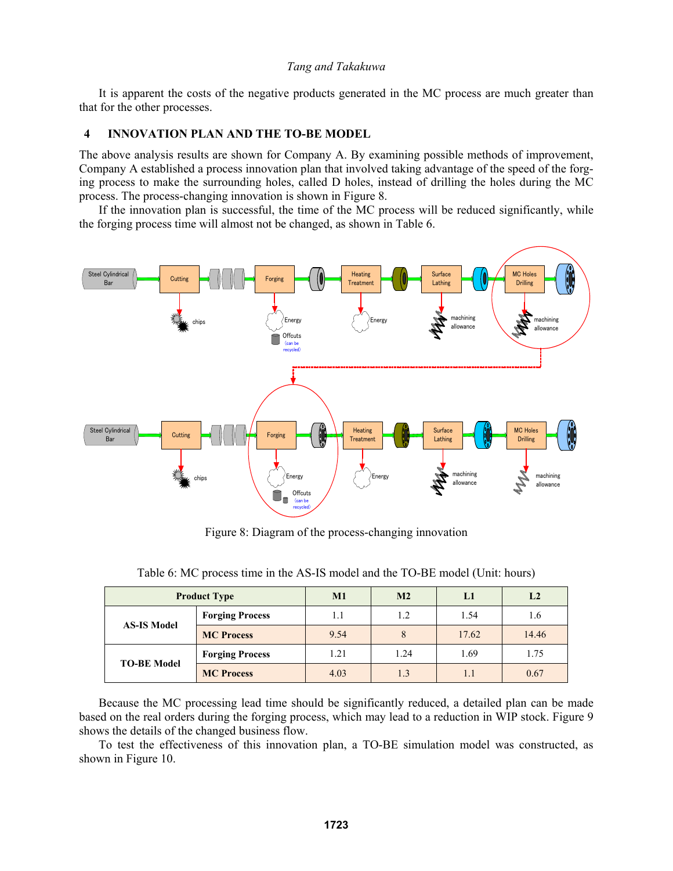It is apparent the costs of the negative products generated in the MC process are much greater than that for the other processes.

## **4 INNOVATION PLAN AND THE TO-BE MODEL**

The above analysis results are shown for Company A. By examining possible methods of improvement, Company A established a process innovation plan that involved taking advantage of the speed of the forging process to make the surrounding holes, called D holes, instead of drilling the holes during the MC process. The process-changing innovation is shown in Figure 8.

If the innovation plan is successful, the time of the MC process will be reduced significantly, while the forging process time will almost not be changed, as shown in Table 6.



Figure 8: Diagram of the process-changing innovation

| <b>Product Type</b> |                        | M1   | M <sub>2</sub> | L1    | L <sub>2</sub> |
|---------------------|------------------------|------|----------------|-------|----------------|
|                     | <b>Forging Process</b> | 1.1  | 1.2            | 1.54  | 1.6            |
| <b>AS-IS Model</b>  | <b>MC Process</b>      | 9.54 |                | 17.62 | 14.46          |
| <b>TO-BE Model</b>  | <b>Forging Process</b> | 1.21 | 1.24           | 1.69  | 1.75           |
|                     | <b>MC Process</b>      | 4.03 | 1.3            | 1.1   | 0.67           |

Table 6: MC process time in the AS-IS model and the TO-BE model (Unit: hours)

Because the MC processing lead time should be significantly reduced, a detailed plan can be made based on the real orders during the forging process, which may lead to a reduction in WIP stock. Figure 9 shows the details of the changed business flow.

To test the effectiveness of this innovation plan, a TO-BE simulation model was constructed, as shown in Figure 10.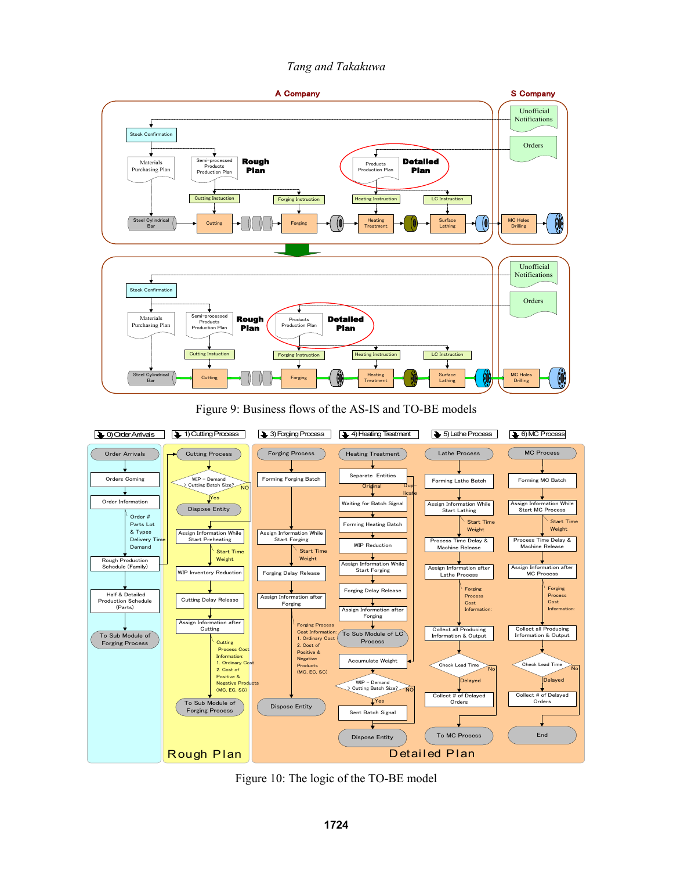



Figure 9: Business flows of the AS-IS and TO-BE models



Figure 10: The logic of the TO-BE model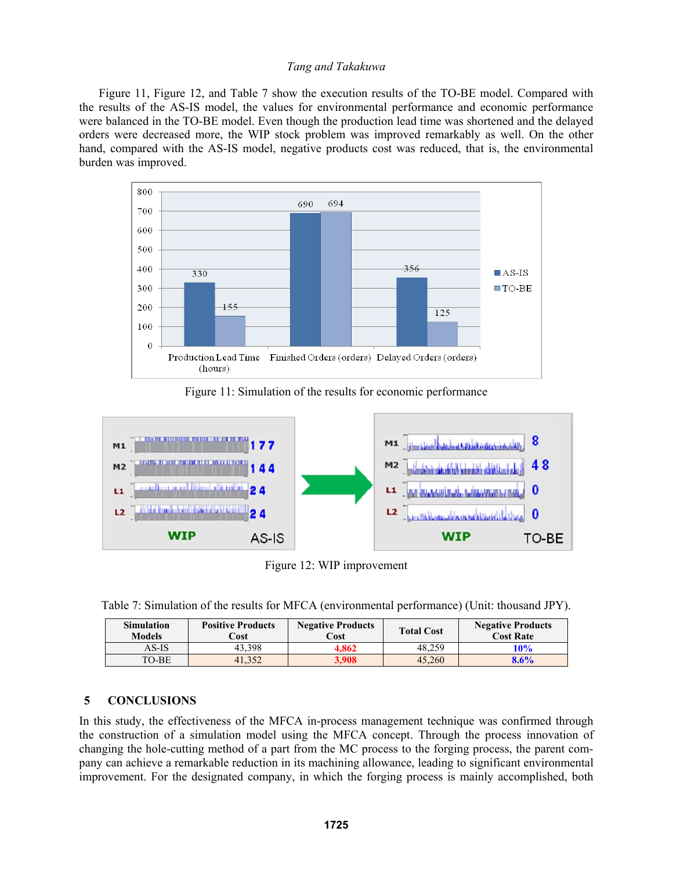Figure 11, Figure 12, and Table 7 show the execution results of the TO-BE model. Compared with the results of the AS-IS model, the values for environmental performance and economic performance were balanced in the TO-BE model. Even though the production lead time was shortened and the delayed orders were decreased more, the WIP stock problem was improved remarkably as well. On the other hand, compared with the AS-IS model, negative products cost was reduced, that is, the environmental burden was improved.



Figure 11: Simulation of the results for economic performance



Figure 12: WIP improvement

Table 7: Simulation of the results for MFCA (environmental performance) (Unit: thousand JPY).

| <b>Simulation</b><br><b>Models</b> | <b>Positive Products</b><br>∑ost | <b>Negative Products</b><br>$\mathbf{Cost}$ | <b>Total Cost</b> | <b>Negative Products</b><br><b>Cost Rate</b> |
|------------------------------------|----------------------------------|---------------------------------------------|-------------------|----------------------------------------------|
| AS-IS                              | 43.398                           | 4.862                                       | 48.259            | 10%                                          |
| TO-BE                              | 41.352                           | 5.908                                       | 45.260            | 8.6%                                         |

# **5 CONCLUSIONS**

In this study, the effectiveness of the MFCA in-process management technique was confirmed through the construction of a simulation model using the MFCA concept. Through the process innovation of changing the hole-cutting method of a part from the MC process to the forging process, the parent company can achieve a remarkable reduction in its machining allowance, leading to significant environmental improvement. For the designated company, in which the forging process is mainly accomplished, both